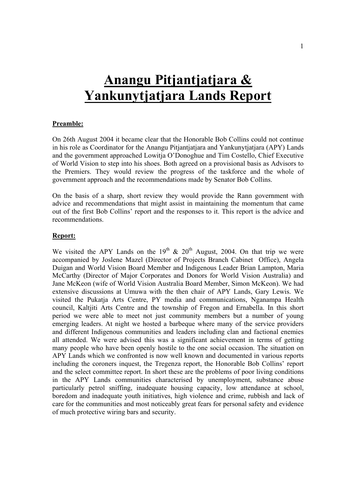# **Anangu Pitjantjatjara & Yankunytjatjara Lands Report**

#### **Preamble:**

On 26th August 2004 it became clear that the Honorable Bob Collins could not continue in his role as Coordinator for the Anangu Pitjantjatjara and Yankunytjatjara (APY) Lands and the government approached Lowitja O'Donoghue and Tim Costello, Chief Executive of World Vision to step into his shoes. Both agreed on a provisional basis as Advisors to the Premiers. They would review the progress of the taskforce and the whole of government approach and the recommendations made by Senator Bob Collins.

On the basis of a sharp, short review they would provide the Rann government with advice and recommendations that might assist in maintaining the momentum that came out of the first Bob Collins' report and the responses to it. This report is the advice and recommendations.

#### **Report:**

We visited the APY Lands on the 19<sup>th</sup>  $\&$  20<sup>th</sup> August, 2004. On that trip we were accompanied by Joslene Mazel (Director of Projects Branch Cabinet Office), Angela Duigan and World Vision Board Member and Indigenous Leader Brian Lampton, Maria McCarthy (Director of Major Corporates and Donors for World Vision Australia) and Jane McKeon (wife of World Vision Australia Board Member, Simon McKeon). We had extensive discussions at Umuwa with the then chair of APY Lands, Gary Lewis. We visited the Pukatja Arts Centre, PY media and communications, Nganampa Health council, Kaltjiti Arts Centre and the township of Fregon and Ernabella. In this short period we were able to meet not just community members but a number of young emerging leaders. At night we hosted a barbeque where many of the service providers and different Indigenous communities and leaders including clan and factional enemies all attended. We were advised this was a significant achievement in terms of getting many people who have been openly hostile to the one social occasion. The situation on APY Lands which we confronted is now well known and documented in various reports including the coroners inquest, the Tregenza report, the Honorable Bob Collins' report and the select committee report. In short these are the problems of poor living conditions in the APY Lands communities characterised by unemployment, substance abuse particularly petrol sniffing, inadequate housing capacity, low attendance at school, boredom and inadequate youth initiatives, high violence and crime, rubbish and lack of care for the communities and most noticeably great fears for personal safety and evidence of much protective wiring bars and security.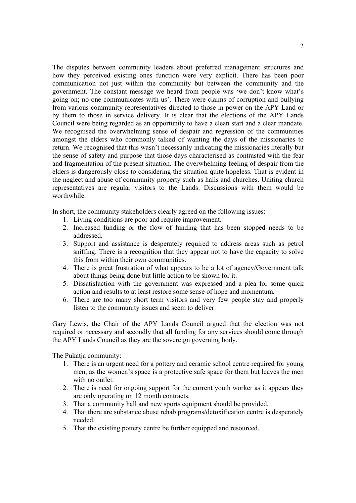The disputes between community leaders about preferred management structures and how they perceived existing ones function were very explicit. There has been poor communication not just within the community but between the community and the government. The constant message we heard from people was 'we don't know what's going on; no-one communicates with us'. There were claims of corruption and bullying from various community representatives directed to those in power on the APY Land or by them to those in service delivery. It is clear that the elections of the APY Lands Council were being regarded as an opportunity to have a clean start and a clear mandate. We recognised the overwhelming sense of despair and regression of the communities amongst the elders who commonly talked of wanting the days of the missionaries to return. We recognised that this wasn't necessarily indicating the missionaries literally but the sense of safety and purpose that those days characterised as contrasted with the fear and fragmentation of the present situation. The overwhelming feeling of despair from the elders is dangerously close to considering the situation quite hopeless. That is evident in the neglect and abuse of community property such as halls and churches. Uniting church representatives are regular visitors to the Lands. Discussions with them would be worthwhile.

In short, the community stakeholders clearly agreed on the following issues:

- 1. Living conditions are poor and require improvement.
- 2. Increased funding or the flow of funding that has been stopped needs to be addressed.
- 3. Support and assistance is desperately required to address areas such as petrol sniffing. There is a recognition that they appear not to have the capacity to solve this from within their own communities.
- 4. There is great frustration of what appears to be a lot of agency/Government talk about things being done but little action to be shown for it.
- 5. Dissatisfaction with the government was expressed and a plea for some quick action and results to at least restore some sense of hope and momentum.
- 6. There are too many short term visitors and very few people stay and properly listen to the community issues and seem to deliver.

Gary Lewis, the Chair of the APY Lands Council argued that the election was not required or necessary and secondly that all funding for any services should come through the APY Lands Council as they are the sovereign governing body.

The Pukatja community:

- 1. There is an urgent need for a pottery and ceramic school centre required for young men, as the women's space is a protective safe space for them but leaves the men with no outlet.
- 2. There is need for ongoing support for the current youth worker as it appears they are only operating on 12 month contracts.
- 3. That a community hall and new sports equipment should be provided.
- 4. That there are substance abuse rehab programs/detoxification centre is desperately needed.
- 5. That the existing pottery centre be further equipped and resourced.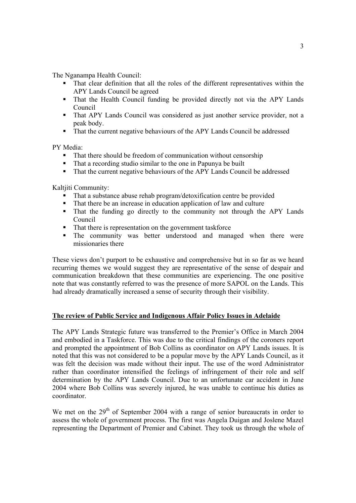The Nganampa Health Council:

- That clear definition that all the roles of the different representatives within the APY Lands Council be agreed
- That the Health Council funding be provided directly not via the APY Lands Council
- That APY Lands Council was considered as just another service provider, not a peak body.
- That the current negative behaviours of the APY Lands Council be addressed

PY Media:

- That there should be freedom of communication without censorship
- That a recording studio similar to the one in Papunya be built
- That the current negative behaviours of the APY Lands Council be addressed

Kaltiiti Community:

- That a substance abuse rehab program/detoxification centre be provided
- That there be an increase in education application of law and culture
- That the funding go directly to the community not through the APY Lands Council
- That there is representation on the government taskforce
- The community was better understood and managed when there were missionaries there

These views don't purport to be exhaustive and comprehensive but in so far as we heard recurring themes we would suggest they are representative of the sense of despair and communication breakdown that these communities are experiencing. The one positive note that was constantly referred to was the presence of more SAPOL on the Lands. This had already dramatically increased a sense of security through their visibility.

## **The review of Public Service and Indigenous Affair Policy Issues in Adelaide**

The APY Lands Strategic future was transferred to the Premier's Office in March 2004 and embodied in a Taskforce. This was due to the critical findings of the coroners report and prompted the appointment of Bob Collins as coordinator on APY Lands issues. It is noted that this was not considered to be a popular move by the APY Lands Council, as it was felt the decision was made without their input. The use of the word Administrator rather than coordinator intensified the feelings of infringement of their role and self determination by the APY Lands Council. Due to an unfortunate car accident in June 2004 where Bob Collins was severely injured, he was unable to continue his duties as coordinator.

We met on the  $29<sup>th</sup>$  of September 2004 with a range of senior bureaucrats in order to assess the whole of government process. The first was Angela Duigan and Joslene Mazel representing the Department of Premier and Cabinet. They took us through the whole of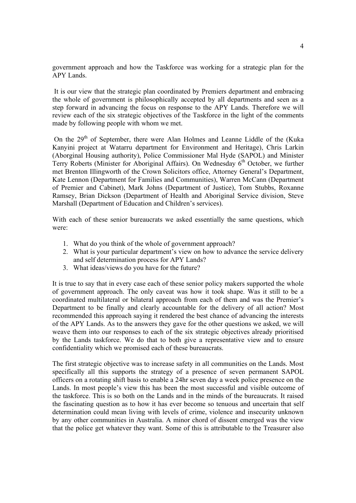government approach and how the Taskforce was working for a strategic plan for the APY Lands.

 It is our view that the strategic plan coordinated by Premiers department and embracing the whole of government is philosophically accepted by all departments and seen as a step forward in advancing the focus on response to the APY Lands. Therefore we will review each of the six strategic objectives of the Taskforce in the light of the comments made by following people with whom we met.

On the  $29<sup>th</sup>$  of September, there were Alan Holmes and Leanne Liddle of the (Kuka Kanyini project at Watarru department for Environment and Heritage), Chris Larkin (Aborginal Housing authority), Police Commissioner Mal Hyde (SAPOL) and Minister Terry Roberts (Minister for Aboriginal Affairs). On Wednesday  $6<sup>th</sup>$  October, we further met Brenton Illingworth of the Crown Solicitors office, Attorney General's Department, Kate Lennon (Department for Families and Communities), Warren McCann (Department of Premier and Cabinet), Mark Johns (Department of Justice), Tom Stubbs, Roxanne Ramsey, Brian Dickson (Department of Health and Aboriginal Service division, Steve Marshall (Department of Education and Children's services).

With each of these senior bureaucrats we asked essentially the same questions, which were:

- 1. What do you think of the whole of government approach?
- 2. What is your particular department's view on how to advance the service delivery and self determination process for APY Lands?
- 3. What ideas/views do you have for the future?

It is true to say that in every case each of these senior policy makers supported the whole of government approach. The only caveat was how it took shape. Was it still to be a coordinated multilateral or bilateral approach from each of them and was the Premier's Department to be finally and clearly accountable for the delivery of all action? Most recommended this approach saying it rendered the best chance of advancing the interests of the APY Lands. As to the answers they gave for the other questions we asked, we will weave them into our responses to each of the six strategic objectives already prioritised by the Lands taskforce. We do that to both give a representative view and to ensure confidentiality which we promised each of these bureaucrats.

The first strategic objective was to increase safety in all communities on the Lands. Most specifically all this supports the strategy of a presence of seven permanent SAPOL officers on a rotating shift basis to enable a 24hr seven day a week police presence on the Lands. In most people's view this has been the most successful and visible outcome of the taskforce. This is so both on the Lands and in the minds of the bureaucrats. It raised the fascinating question as to how it has ever become so tenuous and uncertain that self determination could mean living with levels of crime, violence and insecurity unknown by any other communities in Australia. A minor chord of dissent emerged was the view that the police get whatever they want. Some of this is attributable to the Treasurer also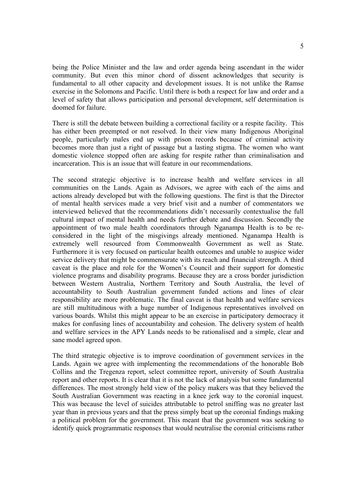being the Police Minister and the law and order agenda being ascendant in the wider community. But even this minor chord of dissent acknowledges that security is fundamental to all other capacity and development issues. It is not unlike the Ramse exercise in the Solomons and Pacific. Until there is both a respect for law and order and a level of safety that allows participation and personal development, self determination is doomed for failure.

There is still the debate between building a correctional facility or a respite facility. This has either been preempted or not resolved. In their view many Indigenous Aboriginal people, particularly males end up with prison records because of criminal activity becomes more than just a right of passage but a lasting stigma. The women who want domestic violence stopped often are asking for respite rather than criminalisation and incarceration. This is an issue that will feature in our recommendations.

The second strategic objective is to increase health and welfare services in all communities on the Lands. Again as Advisors, we agree with each of the aims and actions already developed but with the following questions. The first is that the Director of mental health services made a very brief visit and a number of commentators we interviewed believed that the recommendations didn't necessarily contextualise the full cultural impact of mental health and needs further debate and discussion. Secondly the appointment of two male health coordinators through Nganampa Health is to be reconsidered in the light of the misgivings already mentioned. Nganampa Health is extremely well resourced from Commonwealth Government as well as State. Furthermore it is very focused on particular health outcomes and unable to auspice wider service delivery that might be commensurate with its reach and financial strength. A third caveat is the place and role for the Women's Council and their support for domestic violence programs and disability programs. Because they are a cross border jurisdiction between Western Australia, Northern Territory and South Australia, the level of accountability to South Australian government funded actions and lines of clear responsibility are more problematic. The final caveat is that health and welfare services are still multitudinous with a huge number of Indigenous representatives involved on various boards. Whilst this might appear to be an exercise in participatory democracy it makes for confusing lines of accountability and cohesion. The delivery system of health and welfare services in the APY Lands needs to be rationalised and a simple, clear and sane model agreed upon.

The third strategic objective is to improve coordination of government services in the Lands. Again we agree with implementing the recommendations of the honorable Bob Collins and the Tregenza report, select committee report, university of South Australia report and other reports. It is clear that it is not the lack of analysis but some fundamental differences. The most strongly held view of the policy makers was that they believed the South Australian Government was reacting in a knee jerk way to the coronial inquest. This was because the level of suicides attributable to petrol sniffing was no greater last year than in previous years and that the press simply beat up the coronial findings making a political problem for the government. This meant that the government was seeking to identify quick programmatic responses that would neutralise the coronial criticisms rather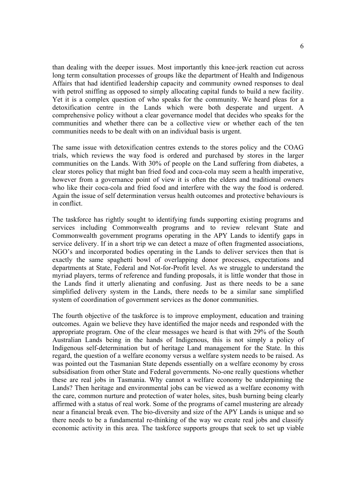than dealing with the deeper issues. Most importantly this knee-jerk reaction cut across long term consultation processes of groups like the department of Health and Indigenous Affairs that had identified leadership capacity and community owned responses to deal with petrol sniffing as opposed to simply allocating capital funds to build a new facility. Yet it is a complex question of who speaks for the community. We heard pleas for a detoxification centre in the Lands which were both desperate and urgent. A comprehensive policy without a clear governance model that decides who speaks for the communities and whether there can be a collective view or whether each of the ten communities needs to be dealt with on an individual basis is urgent.

The same issue with detoxification centres extends to the stores policy and the COAG trials, which reviews the way food is ordered and purchased by stores in the larger communities on the Lands. With 30% of people on the Land suffering from diabetes, a clear stores policy that might ban fried food and coca-cola may seem a health imperative, however from a governance point of view it is often the elders and traditional owners who like their coca-cola and fried food and interfere with the way the food is ordered. Again the issue of self determination versus health outcomes and protective behaviours is in conflict.

The taskforce has rightly sought to identifying funds supporting existing programs and services including Commonwealth programs and to review relevant State and Commonwealth government programs operating in the APY Lands to identify gaps in service delivery. If in a short trip we can detect a maze of often fragmented associations, NGO's and incorporated bodies operating in the Lands to deliver services then that is exactly the same spaghetti bowl of overlapping donor processes, expectations and departments at State, Federal and Not-for-Profit level. As we struggle to understand the myriad players, terms of reference and funding proposals, it is little wonder that those in the Lands find it utterly alienating and confusing. Just as there needs to be a sane simplified delivery system in the Lands, there needs to be a similar sane simplified system of coordination of government services as the donor communities.

The fourth objective of the taskforce is to improve employment, education and training outcomes. Again we believe they have identified the major needs and responded with the appropriate program. One of the clear messages we heard is that with 29% of the South Australian Lands being in the hands of Indigenous, this is not simply a policy of Indigenous self-determination but of heritage Land management for the State. In this regard, the question of a welfare economy versus a welfare system needs to be raised. As was pointed out the Tasmanian State depends essentially on a welfare economy by cross subsidisation from other State and Federal governments. No-one really questions whether these are real jobs in Tasmania. Why cannot a welfare economy be underpinning the Lands? Then heritage and environmental jobs can be viewed as a welfare economy with the care, common nurture and protection of water holes, sites, bush burning being clearly affirmed with a status of real work. Some of the programs of camel mustering are already near a financial break even. The bio-diversity and size of the APY Lands is unique and so there needs to be a fundamental re-thinking of the way we create real jobs and classify economic activity in this area. The taskforce supports groups that seek to set up viable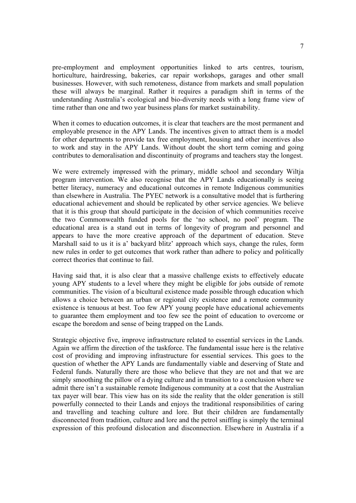pre-employment and employment opportunities linked to arts centres, tourism, horticulture, hairdressing, bakeries, car repair workshops, garages and other small businesses. However, with such remoteness, distance from markets and small population these will always be marginal. Rather it requires a paradigm shift in terms of the understanding Australia's ecological and bio-diversity needs with a long frame view of time rather than one and two year business plans for market sustainability.

When it comes to education outcomes, it is clear that teachers are the most permanent and employable presence in the APY Lands. The incentives given to attract them is a model for other departments to provide tax free employment, housing and other incentives also to work and stay in the APY Lands. Without doubt the short term coming and going contributes to demoralisation and discontinuity of programs and teachers stay the longest.

We were extremely impressed with the primary, middle school and secondary Wiltja program intervention. We also recognise that the APY Lands educationally is seeing better literacy, numeracy and educational outcomes in remote Indigenous communities than elsewhere in Australia. The PYEC network is a consultative model that is furthering educational achievement and should be replicated by other service agencies. We believe that it is this group that should participate in the decision of which communities receive the two Commonwealth funded pools for the 'no school, no pool' program. The educational area is a stand out in terms of longevity of program and personnel and appears to have the more creative approach of the department of education. Steve Marshall said to us it is a' backyard blitz' approach which says, change the rules, form new rules in order to get outcomes that work rather than adhere to policy and politically correct theories that continue to fail.

Having said that, it is also clear that a massive challenge exists to effectively educate young APY students to a level where they might be eligible for jobs outside of remote communities. The vision of a bicultural existence made possible through education which allows a choice between an urban or regional city existence and a remote community existence is tenuous at best. Too few APY young people have educational achievements to guarantee them employment and too few see the point of education to overcome or escape the boredom and sense of being trapped on the Lands.

Strategic objective five, improve infrastructure related to essential services in the Lands. Again we affirm the direction of the taskforce. The fundamental issue here is the relative cost of providing and improving infrastructure for essential services. This goes to the question of whether the APY Lands are fundamentally viable and deserving of State and Federal funds. Naturally there are those who believe that they are not and that we are simply smoothing the pillow of a dying culture and in transition to a conclusion where we admit there isn't a sustainable remote Indigenous community at a cost that the Australian tax payer will bear. This view has on its side the reality that the older generation is still powerfully connected to their Lands and enjoys the traditional responsibilities of caring and travelling and teaching culture and lore. But their children are fundamentally disconnected from tradition, culture and lore and the petrol sniffing is simply the terminal expression of this profound dislocation and disconnection. Elsewhere in Australia if a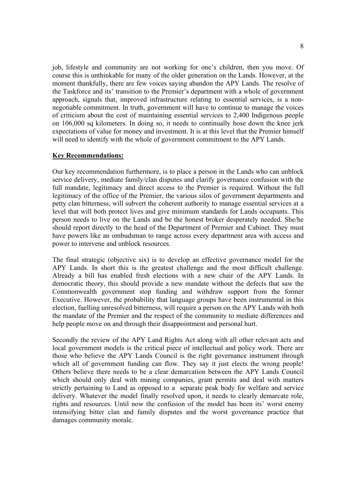job, lifestyle and community are not working for one's children, then you move. Of course this is unthinkable for many of the older generation on the Lands. However, at the moment thankfully, there are few voices saying abandon the APY Lands. The resolve of the Taskforce and its' transition to the Premier's department with a whole of government approach, signals that, improved infrastructure relating to essential services, is a nonnegotiable commitment. In truth, government will have to continue to manage the voices of criticism about the cost of maintaining essential services to 2,400 Indigenous people on 106,000 sq kilometers. In doing so, it needs to continually hose down the knee jerk expectations of value for money and investment. It is at this level that the Premier himself will need to identify with the whole of government commitment to the APY Lands.

### **Key Recommendations:**

Our key recommendation furthermore, is to place a person in the Lands who can unblock service delivery, mediate family/clan disputes and clarify governance confusion with the full mandate, legitimacy and direct access to the Premier is required. Without the full legitimacy of the office of the Premier, the various silos of government departments and petty clan bitterness, will subvert the coherent authority to manage essential services at a level that will both protect lives and give minimum standards for Lands occupants. This person needs to live on the Lands and be the honest broker desperately needed. She/he should report directly to the head of the Department of Premier and Cabinet. They must have powers like an ombudsman to range across every department area with access and power to intervene and unblock resources.

The final strategic (objective six) is to develop an effective governance model for the APY Lands. In short this is the greatest challenge and the most difficult challenge. Already a bill has enabled fresh elections with a new chair of the APY Lands. In democratic theory, this should provide a new mandate without the defects that saw the Commonwealth government stop funding and withdraw support from the former Executive. However, the probability that language groups have been instrumental in this election, fuelling unresolved bitterness, will require a person on the APY Lands with both the mandate of the Premier and the respect of the community to mediate differences and help people move on and through their disappointment and personal hurt.

Secondly the review of the APY Land Rights Act along with all other relevant acts and local government models is the critical piece of intellectual and policy work. There are those who believe the APY Lands Council is the right governance instrument through which all of government funding can flow. They say it just elects the wrong people! Others believe there needs to be a clear demarcation between the APY Lands Council which should only deal with mining companies, grant permits and deal with matters strictly pertaining to Land as opposed to a separate peak body for welfare and service delivery. Whatever the model finally resolved upon, it needs to clearly demarcate role, rights and resources. Until now the confusion of the model has been its' worst enemy intensifying bitter clan and family disputes and the worst governance practice that damages community morale.